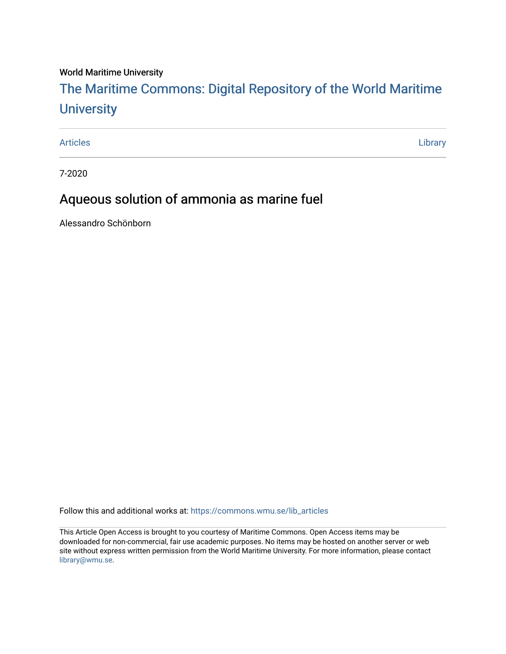## World Maritime University

# [The Maritime Commons: Digital Repository of the World Maritime](https://commons.wmu.se/)  **University**

[Articles](https://commons.wmu.se/lib_articles) **Library** 

7-2020

# Aqueous solution of ammonia as marine fuel

Alessandro Schönborn

Follow this and additional works at: [https://commons.wmu.se/lib\\_articles](https://commons.wmu.se/lib_articles?utm_source=commons.wmu.se%2Flib_articles%2F499&utm_medium=PDF&utm_campaign=PDFCoverPages) 

This Article Open Access is brought to you courtesy of Maritime Commons. Open Access items may be downloaded for non-commercial, fair use academic purposes. No items may be hosted on another server or web site without express written permission from the World Maritime University. For more information, please contact [library@wmu.se](mailto:library@wmu.edu).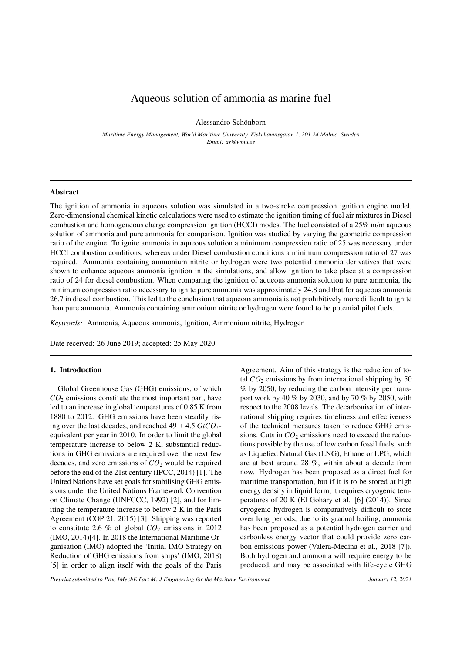### Aqueous solution of ammonia as marine fuel

Alessandro Schönborn

Maritime Energy Management, World Maritime University, Fiskehamnsgatan 1, 201 24 Malmö, Sweden *Email: as@wmu.se*

#### Abstract

The ignition of ammonia in aqueous solution was simulated in a two-stroke compression ignition engine model. Zero-dimensional chemical kinetic calculations were used to estimate the ignition timing of fuel air mixtures in Diesel combustion and homogeneous charge compression ignition (HCCI) modes. The fuel consisted of a 25% m/m aqueous solution of ammonia and pure ammonia for comparison. Ignition was studied by varying the geometric compression ratio of the engine. To ignite ammonia in aqueous solution a minimum compression ratio of 25 was necessary under HCCI combustion conditions, whereas under Diesel combustion conditions a minimum compression ratio of 27 was required. Ammonia containing ammonium nitrite or hydrogen were two potential ammonia derivatives that were shown to enhance aqueous ammonia ignition in the simulations, and allow ignition to take place at a compression ratio of 24 for diesel combustion. When comparing the ignition of aqueous ammonia solution to pure ammonia, the minimum compression ratio necessary to ignite pure ammonia was approximately 24.8 and that for aqueous ammonia 26.7 in diesel combustion. This led to the conclusion that aqueous ammonia is not prohibitively more difficult to ignite than pure ammonia. Ammonia containing ammonium nitrite or hydrogen were found to be potential pilot fuels.

*Keywords:* Ammonia, Aqueous ammonia, Ignition, Ammonium nitrite, Hydrogen

Date received: 26 June 2019; accepted: 25 May 2020

#### 1. Introduction

Global Greenhouse Gas (GHG) emissions, of which *CO*<sup>2</sup> emissions constitute the most important part, have led to an increase in global temperatures of 0.85 K from 1880 to 2012. GHG emissions have been steadily rising over the last decades, and reached  $49 \pm 4.5$  *GtCO*<sub>2</sub>equivalent per year in 2010. In order to limit the global temperature increase to below 2 K, substantial reductions in GHG emissions are required over the next few decades, and zero emissions of *CO*<sup>2</sup> would be required before the end of the 21st century (IPCC, 2014) [1]. The United Nations have set goals for stabilising GHG emissions under the United Nations Framework Convention on Climate Change (UNFCCC, 1992) [2], and for limiting the temperature increase to below 2 K in the Paris Agreement (COP 21, 2015) [3]. Shipping was reported to constitute 2.6 % of global  $CO_2$  emissions in 2012 (IMO, 2014)[4]. In 2018 the International Maritime Organisation (IMO) adopted the 'Initial IMO Strategy on Reduction of GHG emissions from ships' (IMO, 2018) [5] in order to align itself with the goals of the Paris Agreement. Aim of this strategy is the reduction of total  $CO<sub>2</sub>$  emissions by from international shipping by 50 % by 2050, by reducing the carbon intensity per transport work by 40 % by 2030, and by 70 % by 2050, with respect to the 2008 levels. The decarbonisation of international shipping requires timeliness and effectiveness of the technical measures taken to reduce GHG emissions. Cuts in  $CO<sub>2</sub>$  emissions need to exceed the reductions possible by the use of low carbon fossil fuels, such as Liquefied Natural Gas (LNG), Ethane or LPG, which are at best around 28 %, within about a decade from now. Hydrogen has been proposed as a direct fuel for maritime transportation, but if it is to be stored at high energy density in liquid form, it requires cryogenic temperatures of 20 K (El Gohary et al. [6] (2014)). Since cryogenic hydrogen is comparatively difficult to store over long periods, due to its gradual boiling, ammonia has been proposed as a potential hydrogen carrier and carbonless energy vector that could provide zero carbon emissions power (Valera-Medina et al., 2018 [7]). Both hydrogen and ammonia will require energy to be produced, and may be associated with life-cycle GHG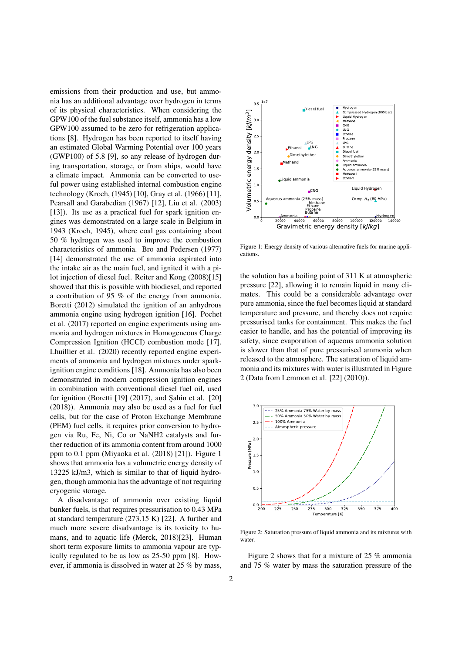emissions from their production and use, but ammonia has an additional advantage over hydrogen in terms of its physical characteristics. When considering the GPW100 of the fuel substance itself, ammonia has a low GPW100 assumed to be zero for refrigeration applications [8]. Hydrogen has been reported to itself having an estimated Global Warming Potential over 100 years (GWP100) of 5.8 [9], so any release of hydrogen during transportation, storage, or from ships, would have a climate impact. Ammonia can be converted to useful power using established internal combustion engine technology (Kroch, (1945) [10], Gray et al. (1966) [11], Pearsall and Garabedian (1967) [12], Liu et al. (2003) [13]). Its use as a practical fuel for spark ignition engines was demonstrated on a large scale in Belgium in 1943 (Kroch, 1945), where coal gas containing about 50 % hydrogen was used to improve the combustion characteristics of ammonia. Bro and Pedersen (1977) [14] demonstrated the use of ammonia aspirated into the intake air as the main fuel, and ignited it with a pilot injection of diesel fuel. Reiter and Kong (2008)[15] showed that this is possible with biodiesel, and reported a contribution of 95 % of the energy from ammonia. Boretti (2012) simulated the ignition of an anhydrous ammonia engine using hydrogen ignition [16]. Pochet et al. (2017) reported on engine experiments using ammonia and hydrogen mixtures in Homogeneous Charge Compression Ignition (HCCI) combustion mode [17]. Lhuillier et al. (2020) recently reported engine experiments of ammonia and hydrogen mixtures under sparkignition engine conditions [18]. Ammonia has also been demonstrated in modern compression ignition engines in combination with conventional diesel fuel oil, used for ignition (Boretti [19] (2017), and Şahin et al. [20] (2018)). Ammonia may also be used as a fuel for fuel cells, but for the case of Proton Exchange Membrane (PEM) fuel cells, it requires prior conversion to hydrogen via Ru, Fe, Ni, Co or NaNH2 catalysts and further reduction of its ammonia content from around 1000 ppm to 0.1 ppm (Miyaoka et al. (2018) [21]). Figure 1 shows that ammonia has a volumetric energy density of 13225 kJ/m3, which is similar to that of liquid hydrogen, though ammonia has the advantage of not requiring cryogenic storage.

A disadvantage of ammonia over existing liquid bunker fuels, is that requires pressurisation to 0.43 MPa at standard temperature (273.15 K) [22]. A further and much more severe disadvantage is its toxicity to humans, and to aquatic life (Merck, 2018)[23]. Human short term exposure limits to ammonia vapour are typically regulated to be as low as 25-50 ppm [8]. However, if ammonia is dissolved in water at 25 % by mass,



Figure 1: Energy density of various alternative fuels for marine applications.

the solution has a boiling point of 311 K at atmospheric pressure [22], allowing it to remain liquid in many climates. This could be a considerable advantage over pure ammonia, since the fuel becomes liquid at standard temperature and pressure, and thereby does not require pressurised tanks for containment. This makes the fuel easier to handle, and has the potential of improving its safety, since evaporation of aqueous ammonia solution is slower than that of pure pressurised ammonia when released to the atmosphere. The saturation of liquid ammonia and its mixtures with water is illustrated in Figure 2 (Data from Lemmon et al. [22] (2010)).



Figure 2: Saturation pressure of liquid ammonia and its mixtures with water.

Figure 2 shows that for a mixture of 25 % ammonia and 75 % water by mass the saturation pressure of the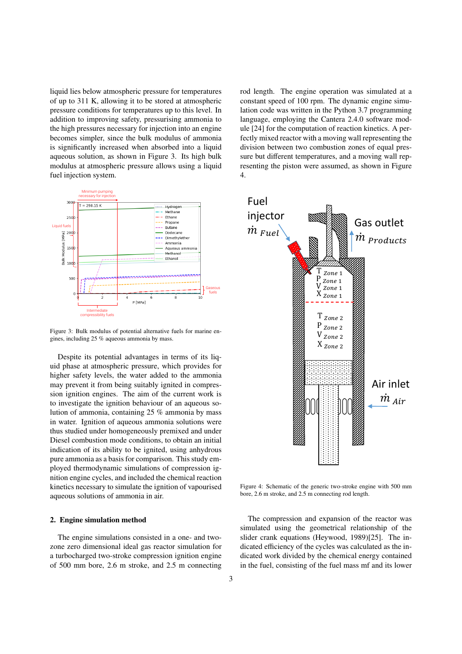liquid lies below atmospheric pressure for temperatures of up to 311 K, allowing it to be stored at atmospheric pressure conditions for temperatures up to this level. In addition to improving safety, pressurising ammonia to the high pressures necessary for injection into an engine becomes simpler, since the bulk modulus of ammonia is significantly increased when absorbed into a liquid aqueous solution, as shown in Figure 3. Its high bulk modulus at atmospheric pressure allows using a liquid resenting the piston were ass<br>fuel injection system. 4. fuel injection system. E.W. Lemmon, M.L. Huber,



Figure 3: Bulk modulus of potential alternative fuels for marine engines, including 25 % aqueous ammonia by mass.

Despite its potential advantages in terms of its liquid phase at atmospheric pressure, which provides for higher safety levels, the water added to the ammonia may prevent it from being suitably ignited in compression ignition engines. The aim of the current work is to investigate the ignition behaviour of an aqueous solution of ammonia, containing 25 % ammonia by mass in water. Ignition of aqueous ammonia solutions were thus studied under homogeneously premixed and under Diesel combustion mode conditions, to obtain an initial indication of its ability to be ignited, using anhydrous pure ammonia as a basis for comparison. This study employed thermodynamic simulations of compression ignition engine cycles, and included the chemical reaction kinetics necessary to simulate the ignition of vapourised aqueous solutions of ammonia in air.

#### 2. Engine simulation method

The engine simulations consisted in a one- and twozone zero dimensional ideal gas reactor simulation for a turbocharged two-stroke compression ignition engine of 500 mm bore, 2.6 m stroke, and 2.5 m connecting

rod length. The engine operation was simulated at a constant speed of 100 rpm. The dynamic engine simulation code was written in the Python 3.7 programming language, employing the Cantera 2.4.0 software module [24] for the computation of reaction kinetics. A perfectly mixed reactor with a moving wall representing the division between two combustion zones of equal pressure but different temperatures, and a moving wall representing the piston were assumed, as shown in Figure 4.



Figure 4: Schematic of the generic two-stroke engine with 500 mm bore, 2.6 m stroke, and 2.5 m connecting rod length.

The compression and expansion of the reactor was simulated using the geometrical relationship of the slider crank equations (Heywood, 1989)[25]. The indicated efficiency of the cycles was calculated as the indicated work divided by the chemical energy contained in the fuel, consisting of the fuel mass mf and its lower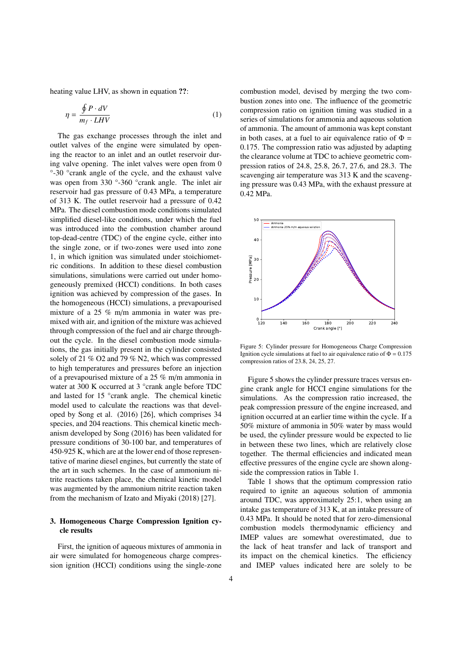heating value LHV, as shown in equation ??:

$$
\eta = \frac{\oint P \cdot dV}{m_f \cdot LHV} \tag{1}
$$

The gas exchange processes through the inlet and outlet valves of the engine were simulated by opening the reactor to an inlet and an outlet reservoir during valve opening. The inlet valves were open from 0 °-30 °crank angle of the cycle, and the exhaust valve was open from 330 °-360 °crank angle. The inlet air reservoir had gas pressure of 0.43 MPa, a temperature of 313 K. The outlet reservoir had a pressure of 0.42 MPa. The diesel combustion mode conditions simulated simplified diesel-like conditions, under which the fuel was introduced into the combustion chamber around top-dead-centre (TDC) of the engine cycle, either into the single zone, or if two-zones were used into zone 1, in which ignition was simulated under stoichiometric conditions. In addition to these diesel combustion simulations, simulations were carried out under homogeneously premixed (HCCI) conditions. In both cases ignition was achieved by compression of the gases. In the homogeneous (HCCI) simulations, a prevapourised mixture of a 25 % m/m ammonia in water was premixed with air, and ignition of the mixture was achieved through compression of the fuel and air charge throughout the cycle. In the diesel combustion mode simulations, the gas initially present in the cylinder consisted solely of 21 % O2 and 79 % N2, which was compressed to high temperatures and pressures before an injection of a prevapourised mixture of a 25 % m/m ammonia in water at 300 K occurred at 3 °crank angle before TDC and lasted for 15 °crank angle. The chemical kinetic model used to calculate the reactions was that developed by Song et al. (2016) [26], which comprises 34 species, and 204 reactions. This chemical kinetic mechanism developed by Song (2016) has been validated for pressure conditions of 30-100 bar, and temperatures of 450-925 K, which are at the lower end of those representative of marine diesel engines, but currently the state of the art in such schemes. In the case of ammonium nitrite reactions taken place, the chemical kinetic model was augmented by the ammonium nitrite reaction taken from the mechanism of Izato and Miyaki (2018) [27].

#### 3. Homogeneous Charge Compression Ignition cycle results

First, the ignition of aqueous mixtures of ammonia in air were simulated for homogeneous charge compression ignition (HCCI) conditions using the single-zone combustion model, devised by merging the two combustion zones into one. The influence of the geometric compression ratio on ignition timing was studied in a series of simulations for ammonia and aqueous solution of ammonia. The amount of ammonia was kept constant in both cases, at a fuel to air equivalence ratio of  $\Phi =$ 0.175. The compression ratio was adjusted by adapting the clearance volume at TDC to achieve geometric compression ratios of 24.8, 25.8, 26.7, 27.6, and 28.3. The scavenging air temperature was 313 K and the scavenging pressure was 0.43 MPa, with the exhaust pressure at 0.42 MPa.



Figure 5: Cylinder pressure for Homogeneous Charge Compression Ignition cycle simulations at fuel to air equivalence ratio of  $\Phi = 0.175$ compression ratios of 23.8, 24, 25, 27.

Figure 5 shows the cylinder pressure traces versus engine crank angle for HCCI engine simulations for the simulations. As the compression ratio increased, the peak compression pressure of the engine increased, and ignition occurred at an earlier time within the cycle. If a 50% mixture of ammonia in 50% water by mass would be used, the cylinder pressure would be expected to lie in between these two lines, which are relatively close together. The thermal efficiencies and indicated mean effective pressures of the engine cycle are shown alongside the compression ratios in Table 1.

Table 1 shows that the optimum compression ratio required to ignite an aqueous solution of ammonia around TDC, was approximately 25:1, when using an intake gas temperature of 313 K, at an intake pressure of 0.43 MPa. It should be noted that for zero-dimensional combustion models thermodynamic efficiency and IMEP values are somewhat overestimated, due to the lack of heat transfer and lack of transport and its impact on the chemical kinetics. The efficiency and IMEP values indicated here are solely to be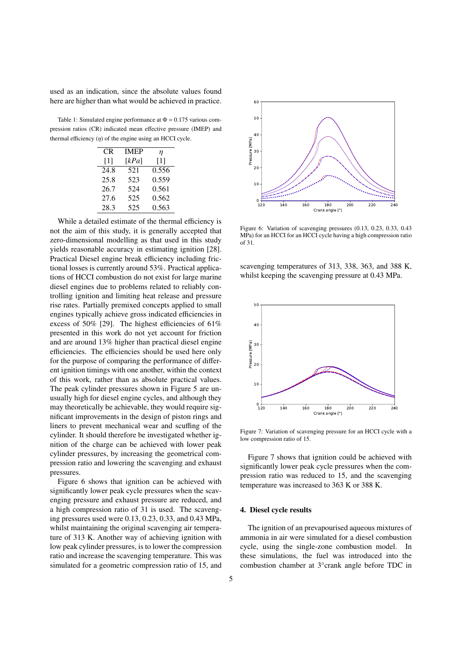used as an indication, since the absolute values found here are higher than what would be achieved in practice.

Table 1: Simulated engine performance at  $\Phi = 0.175$  various compression ratios (CR) indicated mean effective pressure (IMEP) and thermal efficiency  $(\eta)$  of the engine using an HCCI cycle.

| CR   | <b>IMEP</b> | η     |
|------|-------------|-------|
| [1]  | [kPa]       | [1]   |
| 24.8 | 521         | 0.556 |
| 25.8 | 523         | 0.559 |
| 26.7 | 524         | 0.561 |
| 27.6 | 525         | 0.562 |
| 28.3 | 525         | 0.563 |

While a detailed estimate of the thermal efficiency is not the aim of this study, it is generally accepted that zero-dimensional modelling as that used in this study yields reasonable accuracy in estimating ignition [28]. Practical Diesel engine break efficiency including frictional losses is currently around 53%. Practical applications of HCCI combustion do not exist for large marine diesel engines due to problems related to reliably controlling ignition and limiting heat release and pressure rise rates. Partially premixed concepts applied to small engines typically achieve gross indicated efficiencies in excess of 50% [29]. The highest efficiencies of 61% presented in this work do not yet account for friction and are around 13% higher than practical diesel engine efficiencies. The efficiencies should be used here only for the purpose of comparing the performance of different ignition timings with one another, within the context of this work, rather than as absolute practical values. The peak cylinder pressures shown in Figure 5 are unusually high for diesel engine cycles, and although they may theoretically be achievable, they would require significant improvements in the design of piston rings and liners to prevent mechanical wear and scuffing of the cylinder. It should therefore be investigated whether ignition of the charge can be achieved with lower peak cylinder pressures, by increasing the geometrical compression ratio and lowering the scavenging and exhaust pressures.

Figure 6 shows that ignition can be achieved with significantly lower peak cycle pressures when the scavenging pressure and exhaust pressure are reduced, and a high compression ratio of 31 is used. The scavenging pressures used were 0.13, 0.23, 0.33, and 0.43 MPa, whilst maintaining the original scavenging air temperature of 313 K. Another way of achieving ignition with low peak cylinder pressures, is to lower the compression ratio and increase the scavenging temperature. This was simulated for a geometric compression ratio of 15, and



Figure 6: Variation of scavenging pressures (0.13, 0.23, 0.33, 0.43 MPa) for an HCCI for an HCCI cycle having a high compression ratio of 31.

scavenging temperatures of 313, 338, 363, and 388 K, whilst keeping the scavenging pressure at 0.43 MPa.



Figure 7: Variation of scavenging pressure for an HCCI cycle with a low compression ratio of 15.

Figure 7 shows that ignition could be achieved with significantly lower peak cycle pressures when the compression ratio was reduced to 15, and the scavenging temperature was increased to 363 K or 388 K.

#### 4. Diesel cycle results

The ignition of an prevapourised aqueous mixtures of ammonia in air were simulated for a diesel combustion cycle, using the single-zone combustion model. In these simulations, the fuel was introduced into the combustion chamber at 3°crank angle before TDC in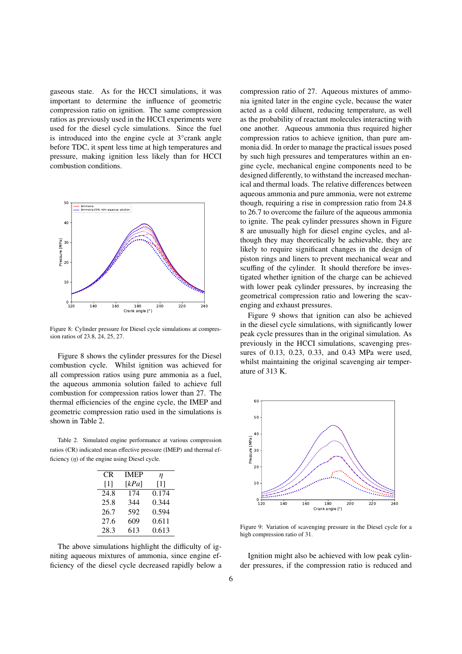gaseous state. As for the HCCI simulations, it was important to determine the influence of geometric compression ratio on ignition. The same compression ratios as previously used in the HCCI experiments were used for the diesel cycle simulations. Since the fuel is introduced into the engine cycle at 3°crank angle before TDC, it spent less time at high temperatures and pressure, making ignition less likely than for HCCI combustion conditions.



Figure 8: Cylinder pressure for Diesel cycle simulations at compression ratios of 23.8, 24, 25, 27.

Figure 8 shows the cylinder pressures for the Diesel combustion cycle. Whilst ignition was achieved for all compression ratios using pure ammonia as a fuel, the aqueous ammonia solution failed to achieve full combustion for compression ratios lower than 27. The thermal efficiencies of the engine cycle, the IMEP and geometric compression ratio used in the simulations is shown in Table 2.

Table 2. Simulated engine performance at various compression ratios (CR) indicated mean effective pressure (IMEP) and thermal efficiency  $(\eta)$  of the engine using Diesel cycle.

| CR   | <b>IMEP</b> | η     |
|------|-------------|-------|
| [1]  | [kPa]       | [1]   |
| 24.8 | 174         | 0.174 |
| 25.8 | 344         | 0.344 |
| 26.7 | 592         | 0.594 |
| 27.6 | 609         | 0.611 |
| 28.3 | 613         | 0.613 |

The above simulations highlight the difficulty of igniting aqueous mixtures of ammonia, since engine efficiency of the diesel cycle decreased rapidly below a compression ratio of 27. Aqueous mixtures of ammonia ignited later in the engine cycle, because the water acted as a cold diluent, reducing temperature, as well as the probability of reactant molecules interacting with one another. Aqueous ammonia thus required higher compression ratios to achieve ignition, than pure ammonia did. In order to manage the practical issues posed by such high pressures and temperatures within an engine cycle, mechanical engine components need to be designed differently, to withstand the increased mechanical and thermal loads. The relative differences between aqueous ammonia and pure ammonia, were not extreme though, requiring a rise in compression ratio from 24.8 to 26.7 to overcome the failure of the aqueous ammonia to ignite. The peak cylinder pressures shown in Figure 8 are unusually high for diesel engine cycles, and although they may theoretically be achievable, they are likely to require significant changes in the design of piston rings and liners to prevent mechanical wear and scuffing of the cylinder. It should therefore be investigated whether ignition of the charge can be achieved with lower peak cylinder pressures, by increasing the geometrical compression ratio and lowering the scavenging and exhaust pressures.

Figure 9 shows that ignition can also be achieved in the diesel cycle simulations, with significantly lower peak cycle pressures than in the original simulation. As previously in the HCCI simulations, scavenging pressures of 0.13, 0.23, 0.33, and 0.43 MPa were used, whilst maintaining the original scavenging air temperature of 313 K.



Figure 9: Variation of scavenging pressure in the Diesel cycle for a high compression ratio of 31.

Ignition might also be achieved with low peak cylinder pressures, if the compression ratio is reduced and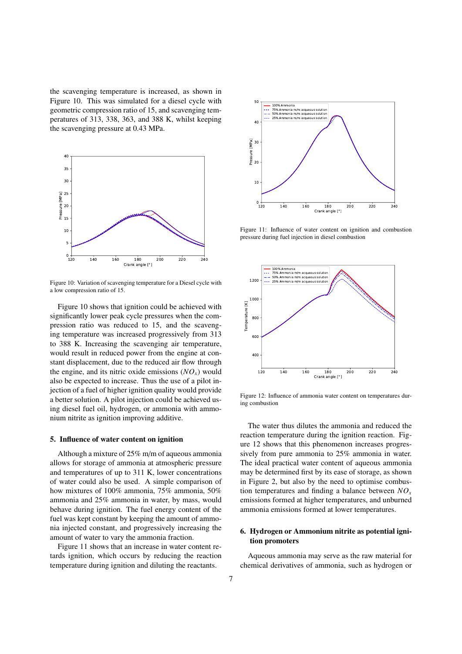the scavenging temperature is increased, as shown in Figure 10. This was simulated for a diesel cycle with geometric compression ratio of 15, and scavenging temperatures of 313, 338, 363, and 388 K, whilst keeping the scavenging pressure at 0.43 MPa.



Figure 10: Variation of scavenging temperature for a Diesel cycle with a low compression ratio of 15.

Figure 10 shows that ignition could be achieved with significantly lower peak cycle pressures when the compression ratio was reduced to 15, and the scavenging temperature was increased progressively from 313 to 388 K. Increasing the scavenging air temperature, would result in reduced power from the engine at constant displacement, due to the reduced air flow through the engine, and its nitric oxide emissions  $(NO<sub>x</sub>)$  would also be expected to increase. Thus the use of a pilot injection of a fuel of higher ignition quality would provide a better solution. A pilot injection could be achieved using diesel fuel oil, hydrogen, or ammonia with ammonium nitrite as ignition improving additive.

#### 5. Influence of water content on ignition

Although a mixture of 25% m/m of aqueous ammonia allows for storage of ammonia at atmospheric pressure and temperatures of up to 311 K, lower concentrations of water could also be used. A simple comparison of how mixtures of 100% ammonia, 75% ammonia, 50% ammonia and 25% ammonia in water, by mass, would behave during ignition. The fuel energy content of the fuel was kept constant by keeping the amount of ammonia injected constant, and progressively increasing the amount of water to vary the ammonia fraction.

Figure 11 shows that an increase in water content retards ignition, which occurs by reducing the reaction temperature during ignition and diluting the reactants.



Figure 11: Influence of water content on ignition and combustion pressure during fuel injection in diesel combustion



Figure 12: Influence of ammonia water content on temperatures during combustion

The water thus dilutes the ammonia and reduced the reaction temperature during the ignition reaction. Figure 12 shows that this phenomenon increases progressively from pure ammonia to 25% ammonia in water. The ideal practical water content of aqueous ammonia may be determined first by its ease of storage, as shown in Figure 2, but also by the need to optimise combustion temperatures and finding a balance between *NO<sup>x</sup>* emissions formed at higher temperatures, and unburned ammonia emissions formed at lower temperatures.

#### 6. Hydrogen or Ammonium nitrite as potential ignition promoters

Aqueous ammonia may serve as the raw material for chemical derivatives of ammonia, such as hydrogen or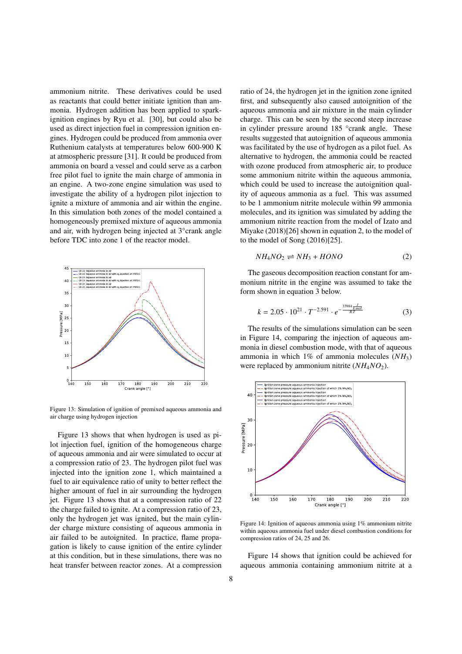ammonium nitrite. These derivatives could be used as reactants that could better initiate ignition than ammonia. Hydrogen addition has been applied to sparkignition engines by Ryu et al. [30], but could also be used as direct injection fuel in compression ignition engines. Hydrogen could be produced from ammonia over Ruthenium catalysts at temperatures below 600-900 K at atmospheric pressure [31]. It could be produced from ammonia on board a vessel and could serve as a carbon free pilot fuel to ignite the main charge of ammonia in an engine. A two-zone engine simulation was used to investigate the ability of a hydrogen pilot injection to ignite a mixture of ammonia and air within the engine. In this simulation both zones of the model contained a homogeneously premixed mixture of aqueous ammonia and air, with hydrogen being injected at 3°crank angle before TDC into zone 1 of the reactor model.



Figure 13: Simulation of ignition of premixed aqueous ammonia and air charge using hydrogen injection

Figure 13 shows that when hydrogen is used as pilot injection fuel, ignition of the homogeneous charge of aqueous ammonia and air were simulated to occur at a compression ratio of 23. The hydrogen pilot fuel was injected into the ignition zone 1, which maintained a fuel to air equivalence ratio of unity to better reflect the higher amount of fuel in air surrounding the hydrogen jet. Figure 13 shows that at a compression ratio of 22 the charge failed to ignite. At a compression ratio of 23, only the hydrogen jet was ignited, but the main cylinder charge mixture consisting of aqueous ammonia in air failed to be autoignited. In practice, flame propagation is likely to cause ignition of the entire cylinder at this condition, but in these simulations, there was no heat transfer between reactor zones. At a compression

ratio of 24, the hydrogen jet in the ignition zone ignited first, and subsequently also caused autoignition of the aqueous ammonia and air mixture in the main cylinder charge. This can be seen by the second steep increase in cylinder pressure around 185 °crank angle. These results suggested that autoignition of aqueous ammonia was facilitated by the use of hydrogen as a pilot fuel. As alternative to hydrogen, the ammonia could be reacted with ozone produced from atmospheric air, to produce some ammonium nitrite within the aqueous ammonia, which could be used to increase the autoignition quality of aqueous ammonia as a fuel. This was assumed to be 1 ammonium nitrite molecule within 99 ammonia molecules, and its ignition was simulated by adding the ammonium nitrite reaction from the model of Izato and Miyake (2018)[26] shown in equation 2, to the model of to the model of Song (2016)[25].

$$
NH4NO2 \rightleftharpoons NH3 + HONO \tag{2}
$$

The gaseous decomposition reaction constant for ammonium nitrite in the engine was assumed to take the form shown in equation 3 below.

$$
k = 2.05 \cdot 10^{21} \cdot T^{-2.591} \cdot e^{-\frac{33984 \frac{J}{Kmol}}{RT}}
$$
 (3)

The results of the simulations simulation can be seen in Figure 14, comparing the injection of aqueous ammonia in diesel combustion mode, with that of aqueous ammonia in which 1% of ammonia molecules (*NH*3) were replaced by ammonium nitrite  $(NH_4NO_2)$ .



Figure 14: Ignition of aqueous ammonia using 1% ammonium nitrite within aqueous ammonia fuel under diesel combustion conditions for compression ratios of 24, 25 and 26.

Figure 14 shows that ignition could be achieved for aqueous ammonia containing ammonium nitrite at a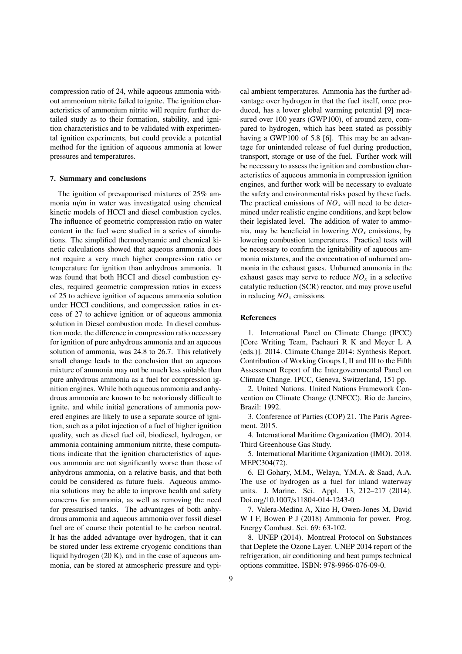compression ratio of 24, while aqueous ammonia without ammonium nitrite failed to ignite. The ignition characteristics of ammonium nitrite will require further detailed study as to their formation, stability, and ignition characteristics and to be validated with experimental ignition experiments, but could provide a potential method for the ignition of aqueous ammonia at lower pressures and temperatures.

#### 7. Summary and conclusions

The ignition of prevapourised mixtures of 25% ammonia m/m in water was investigated using chemical kinetic models of HCCI and diesel combustion cycles. The influence of geometric compression ratio on water content in the fuel were studied in a series of simulations. The simplified thermodynamic and chemical kinetic calculations showed that aqueous ammonia does not require a very much higher compression ratio or temperature for ignition than anhydrous ammonia. It was found that both HCCI and diesel combustion cycles, required geometric compression ratios in excess of 25 to achieve ignition of aqueous ammonia solution under HCCI conditions, and compression ratios in excess of 27 to achieve ignition or of aqueous ammonia solution in Diesel combustion mode. In diesel combustion mode, the difference in compression ratio necessary for ignition of pure anhydrous ammonia and an aqueous solution of ammonia, was 24.8 to 26.7. This relatively small change leads to the conclusion that an aqueous mixture of ammonia may not be much less suitable than pure anhydrous ammonia as a fuel for compression ignition engines. While both aqueous ammonia and anhydrous ammonia are known to be notoriously difficult to ignite, and while initial generations of ammonia powered engines are likely to use a separate source of ignition, such as a pilot injection of a fuel of higher ignition quality, such as diesel fuel oil, biodiesel, hydrogen, or ammonia containing ammonium nitrite, these computations indicate that the ignition characteristics of aqueous ammonia are not significantly worse than those of anhydrous ammonia, on a relative basis, and that both could be considered as future fuels. Aqueous ammonia solutions may be able to improve health and safety concerns for ammonia, as well as removing the need for pressurised tanks. The advantages of both anhydrous ammonia and aqueous ammonia over fossil diesel fuel are of course their potential to be carbon neutral. It has the added advantage over hydrogen, that it can be stored under less extreme cryogenic conditions than liquid hydrogen (20 K), and in the case of aqueous ammonia, can be stored at atmospheric pressure and typical ambient temperatures. Ammonia has the further advantage over hydrogen in that the fuel itself, once produced, has a lower global warming potential [9] measured over 100 years (GWP100), of around zero, compared to hydrogen, which has been stated as possibly having a GWP100 of 5.8 [6]. This may be an advantage for unintended release of fuel during production, transport, storage or use of the fuel. Further work will be necessary to assess the ignition and combustion characteristics of aqueous ammonia in compression ignition engines, and further work will be necessary to evaluate the safety and environmental risks posed by these fuels. The practical emissions of  $NO<sub>x</sub>$  will need to be determined under realistic engine conditions, and kept below their legislated level. The addition of water to ammonia, may be beneficial in lowering  $NO<sub>x</sub>$  emissions, by lowering combustion temperatures. Practical tests will be necessary to confirm the ignitability of aqueous ammonia mixtures, and the concentration of unburned ammonia in the exhaust gases. Unburned ammonia in the exhaust gases may serve to reduce  $NO<sub>x</sub>$  in a selective catalytic reduction (SCR) reactor, and may prove useful in reducing *NO<sup>x</sup>* emissions.

#### References

1. International Panel on Climate Change (IPCC) [Core Writing Team, Pachauri R K and Meyer L A (eds.)]. 2014. Climate Change 2014: Synthesis Report. Contribution of Working Groups I, II and III to the Fifth Assessment Report of the Intergovernmental Panel on Climate Change. IPCC, Geneva, Switzerland, 151 pp.

2. United Nations. United Nations Framework Convention on Climate Change (UNFCC). Rio de Janeiro, Brazil: 1992.

3. Conference of Parties (COP) 21. The Paris Agreement. 2015.

4. International Maritime Organization (IMO). 2014. Third Greenhouse Gas Study.

5. International Maritime Organization (IMO). 2018. MEPC304(72).

6. El Gohary, M.M., Welaya, Y.M.A. & Saad, A.A. The use of hydrogen as a fuel for inland waterway units. J. Marine. Sci. Appl. 13, 212–217 (2014). Doi.org/10.1007/s11804-014-1243-0

7. Valera-Medina A, Xiao H, Owen-Jones M, David W I F, Bowen P J (2018) Ammonia for power. Prog. Energy Combust. Sci. 69: 63-102.

8. UNEP (2014). Montreal Protocol on Substances that Deplete the Ozone Layer. UNEP 2014 report of the refrigeration, air conditioning and heat pumps technical options committee. ISBN: 978-9966-076-09-0.